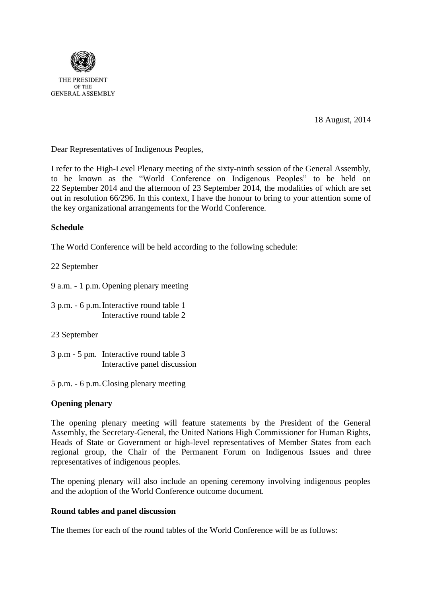

THE PRESIDENT OF THE **GENERAL ASSEMBLY** 

18 August, 2014

Dear Representatives of Indigenous Peoples,

I refer to the High-Level Plenary meeting of the sixty-ninth session of the General Assembly, to be known as the "World Conference on Indigenous Peoples" to be held on 22 September 2014 and the afternoon of 23 September 2014, the modalities of which are set out in resolution 66/296. In this context, I have the honour to bring to your attention some of the key organizational arrangements for the World Conference.

# **Schedule**

The World Conference will be held according to the following schedule:

22 September

9 a.m. - 1 p.m. Opening plenary meeting

3 p.m. - 6 p.m.Interactive round table 1 Interactive round table 2

23 September

3 p.m - 5 pm. Interactive round table 3 Interactive panel discussion

5 p.m. - 6 p.m.Closing plenary meeting

### **Opening plenary**

The opening plenary meeting will feature statements by the President of the General Assembly, the Secretary-General, the United Nations High Commissioner for Human Rights, Heads of State or Government or high-level representatives of Member States from each regional group, the Chair of the Permanent Forum on Indigenous Issues and three representatives of indigenous peoples.

The opening plenary will also include an opening ceremony involving indigenous peoples and the adoption of the World Conference outcome document.

### **Round tables and panel discussion**

The themes for each of the round tables of the World Conference will be as follows: